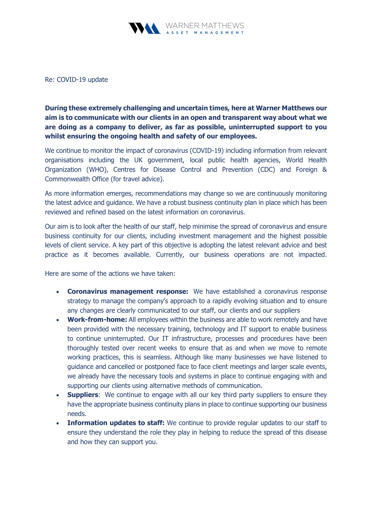

Re: COVID-19 update

During these extremely challenging and uncertain times, here at Warner Matthews our aim is to communicate with our clients in an open and transparent way about what we are doing as a company to deliver, as far as possible, uninterrupted support to you whilst ensuring the ongoing health and safety of our employees.

We continue to monitor the impact of coronavirus (COVID-19) including information from relevant organisations including the UK government, local public health agencies, World Health Organization (WHO), Centres for Disease Control and Prevention (CDC) and Foreign & Commonwealth Office (for travel advice).

As more information emerges, recommendations may change so we are continuously monitoring the latest advice and guidance. We have a robust business continuity plan in place which has been reviewed and refined based on the latest information on coronavirus.

Our aim is to look after the health of our staff, help minimise the spread of coronavirus and ensure business continuity for our clients, including investment management and the highest possible levels of client service. A key part of this objective is adopting the latest relevant advice and best practice as it becomes available. Currently, our business operations are not impacted.

Here are some of the actions we have taken:

- Coronavirus management response: We have established a coronavirus response strategy to manage the company's approach to a rapidly evolving situation and to ensure any changes are clearly communicated to our staff, our clients and our suppliers
- Work-from-home: All employees within the business are able to work remotely and have been provided with the necessary training, technology and IT support to enable business to continue uninterrupted. Our IT infrastructure, processes and procedures have been thoroughly tested over recent weeks to ensure that as and when we move to remote working practices, this is seamless. Although like many businesses we have listened to guidance and cancelled or postponed face to face client meetings and larger scale events, we already have the necessary tools and systems in place to continue engaging with and supporting our clients using alternative methods of communication.
- **Suppliers:** We continue to engage with all our key third party suppliers to ensure they have the appropriate business continuity plans in place to continue supporting our business needs.
- **Information updates to staff:** We continue to provide regular updates to our staff to ensure they understand the role they play in helping to reduce the spread of this disease and how they can support you.